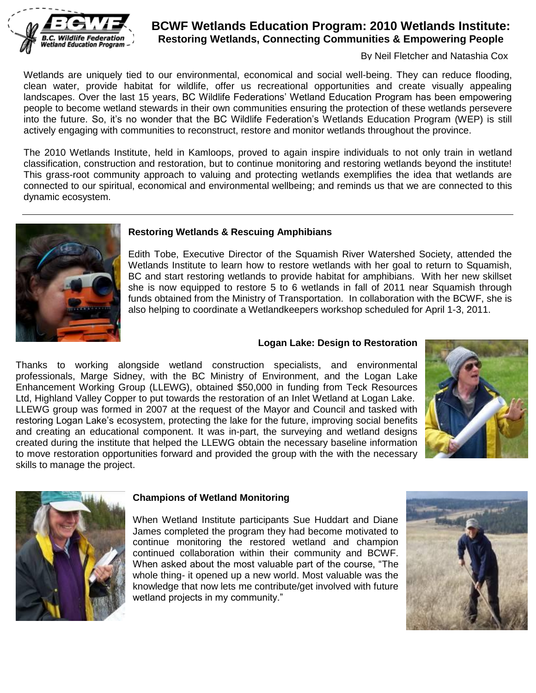

# **BCWF Wetlands Education Program: 2010 Wetlands Institute: Restoring Wetlands, Connecting Communities & Empowering People**

By Neil Fletcher and Natashia Cox

Wetlands are uniquely tied to our environmental, economical and social well-being. They can reduce flooding, clean water, provide habitat for wildlife, offer us recreational opportunities and create visually appealing landscapes. Over the last 15 years, BC Wildlife Federations' Wetland Education Program has been empowering people to become wetland stewards in their own communities ensuring the protection of these wetlands persevere into the future. So, it's no wonder that the BC Wildlife Federation's Wetlands Education Program (WEP) is still actively engaging with communities to reconstruct, restore and monitor wetlands throughout the province.

The 2010 Wetlands Institute, held in Kamloops, proved to again inspire individuals to not only train in wetland classification, construction and restoration, but to continue monitoring and restoring wetlands beyond the institute! This grass-root community approach to valuing and protecting wetlands exemplifies the idea that wetlands are connected to our spiritual, economical and environmental wellbeing; and reminds us that we are connected to this dynamic ecosystem.



#### **Restoring Wetlands & Rescuing Amphibians**

Edith Tobe, Executive Director of the Squamish River Watershed Society, attended the Wetlands Institute to learn how to restore wetlands with her goal to return to Squamish, BC and start restoring wetlands to provide habitat for amphibians. With her new skillset she is now equipped to restore 5 to 6 wetlands in fall of 2011 near Squamish through funds obtained from the Ministry of Transportation. In collaboration with the BCWF, she is also helping to coordinate a Wetlandkeepers workshop scheduled for April 1-3, 2011.

#### **Logan Lake: Design to Restoration**

Thanks to working alongside wetland construction specialists, and environmental professionals, Marge Sidney, with the BC Ministry of Environment, and the Logan Lake Enhancement Working Group (LLEWG), obtained \$50,000 in funding from Teck Resources Ltd, Highland Valley Copper to put towards the restoration of an Inlet Wetland at Logan Lake. LLEWG group was formed in 2007 at the request of the Mayor and Council and tasked with restoring Logan Lake's ecosystem, protecting the lake for the future, improving social benefits and creating an educational component. It was in-part, the surveying and wetland designs created during the institute that helped the LLEWG obtain the necessary baseline information to move restoration opportunities forward and provided the group with the with the necessary skills to manage the project.





#### **Champions of Wetland Monitoring**

When Wetland Institute participants Sue Huddart and Diane James completed the program they had become motivated to continue monitoring the restored wetland and champion continued collaboration within their community and BCWF. When asked about the most valuable part of the course, "The whole thing- it opened up a new world. Most valuable was the knowledge that now lets me contribute/get involved with future wetland projects in my community."